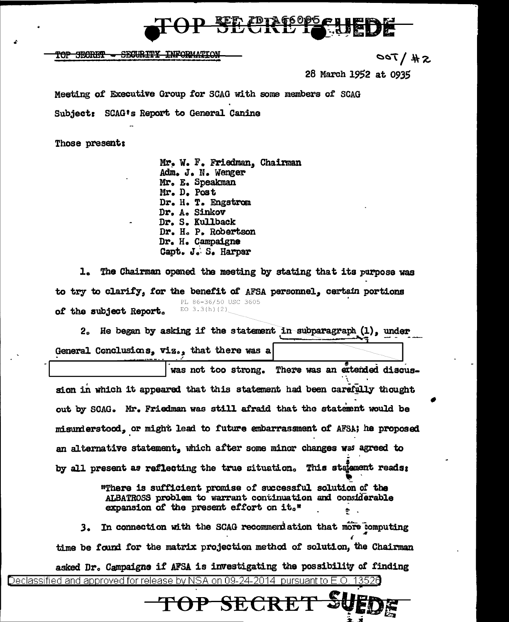

TOP SECRET - SECURITY INFORMATION

 $S#$  \  $700$ 

28 March 1952 at 0935

Meeting of Executive Group for SCAG with some members of SCAG

Subject: SCAG's Report to General Canine

Those present:

Mr. W. F. Friedman, Chairman Adm. J. N. Wenger Mr. E. Speakman Mr. D. Post Dr. H. T. Engstrom Dr. A. Sinkov Dr. S. Kullback Dr. H. P. Robertson Dr. H. Campaigne Capt. J. S. Harper

1. The Chairman opened the meeting by stating that its purpose was to try to clarify, for the benefit of AFSA personnel, certain portions PL 86-36/50 USC 3605 EO  $3.3(h)(2)$ of the subject Report.

2. He began by asking if the statement in subparagraph (1), under General Conclusions, viz., that there was a

was not too strong. There was an extended discussion in which it appeared that this statement had been carefully thought out by SCAG. Mr. Friedman was still afraid that the statement would be misunderstood, or might lead to future embarrassment of AFSA; he proposed an alternative statement, which after some minor changes was agreed to by all present as reflecting the true situation. This stalement reads:

> "There is sufficient promise of successful solution of the ALBATROSS problem to warrant continuation and considerable expansion of the present effort on it."

3. In connection with the SCAG recommendation that more computing time be found for the matrix projection method of solution, the Chairman asked Dr. Campaigne if AFSA is investigating the possibility of finding <u>Declassified and approved for release by NSA on 09-24-2014 pursuant to E.O.</u>

TOP SECR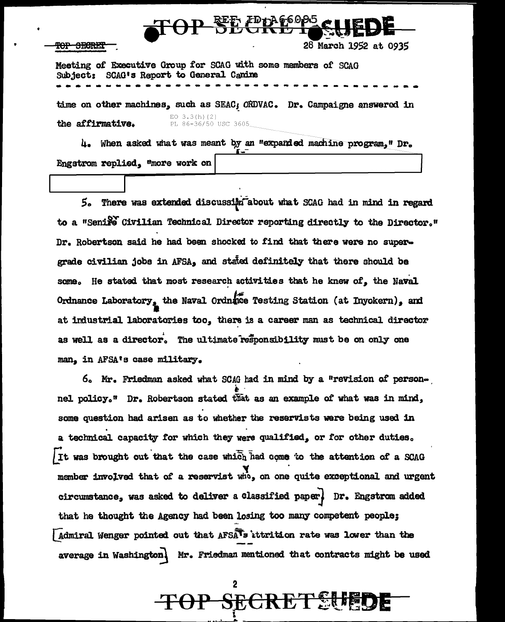# $\Theta$ P SEMPLAGEOPS

## <del>TOP SECRET</del>

28 March 1952 at 0935

Meeting of Executive Group for SCAG with some members of SCAG Subject: SCAG's Report to General Canine

time on other machines, such as SEAC; ORDVAC. Dr. Campaigne answered in EO  $3.3(h)(2)$ PL 86-36/50 USC 3605 the affirmative.

4. When asked what was meant by an "expanded machine program," Dr. Engstrom replied, "more work on

5. There was extended discussion about what SCAG had in mind in regard to a "Seniro Civilian Technical Director reporting directly to the Director." Dr. Robertson said he had been shocked to find that there were no supergrade civilian jobs in AFSA, and stated definitely that there should be some. He stated that most research activities that he knew of, the Naval Ordnance Laboratory, the Naval Ordnace Testing Station (at Inyokern), and at industrial laboratories too, there is a career man as technical director as well as a director. The ultimate responsibility must be on only one man. in AFSA's case military.

6. Mr. Friedman asked what SCAG had in mind by a "revision of personnel policy." Dr. Robertson stated that as an example of what was in mind, some question had arisen as to whether the reservists were being used in a technical capacity for which they were qualified, or for other duties. It was brought out that the case which had come to the attention of a SCAG member involved that of a reservist who, on one quite exceptional and urgent circumstance, was asked to deliver a classified paper, Dr. Engstrom added that he thought the Agency had been losing too many competent people; Admiral Wenger pointed out that AFSATs ittrition rate was lower than the average in Washington) Mr. Friedman mentioned that contracts might be used

OP SECRETSUEDI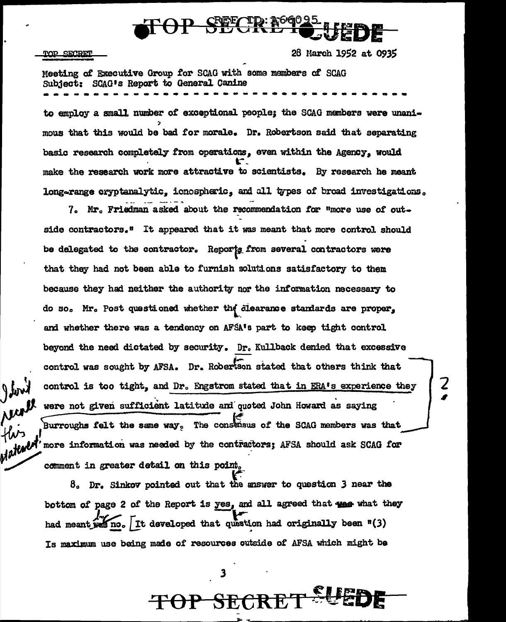

### **TOP SECRET**

getoni

**Nur**<br>Hirs

Materia

28 March 1952 at 0935

Meeting of Executive Group for SCAG with some members of SCAG Subject: SCAG's Report to General Canine to employ a small number of exceptional people; the SCAG members were unani-

mous that this would be bad for morale. Dr. Robertson said that separating basic research completely from operations, even within the Agency, would make the research work more attractive to scientists. By research he meant long-range cryptanalytic, ionospheric, and all types of broad investigations.

7. Mr. Friedman asked about the recommendation for "more use of outside contractors." It appeared that it was meant that more control should be delegated to the contractor. Reports from several contractors were that they had not been able to furnish solutions satisfactory to them because they had neither the authority nor the information necessary to do so. Mr. Post questioned whether the clearance standards are proper, and whether there was a tendency on AFSA's part to keep tight control beyond the need dictated by security. Dr. Kullback denied that excessive control was sought by AFSA. Dr. Robertson stated that others think that control is too tight, and Dr. Engstrom stated that in ERA's experience they were not given sufficient latitude and quoted John Howard as saying Burroughs felt the same way. The consensus of the SCAG members was that more information was needed by the contractors; AFSA should ask SCAG for comment in greater detail on this point.

Ź

 $\beta$ . Dr. Sinkov pointed out that the answer to question 3 near the bottom of page 2 of the Report is yes, and all agreed that we what they had meant was no. It developed that question had originally been "(3) Is maximum use being made of resources outside of AFSA which might be

3

TOP SECRE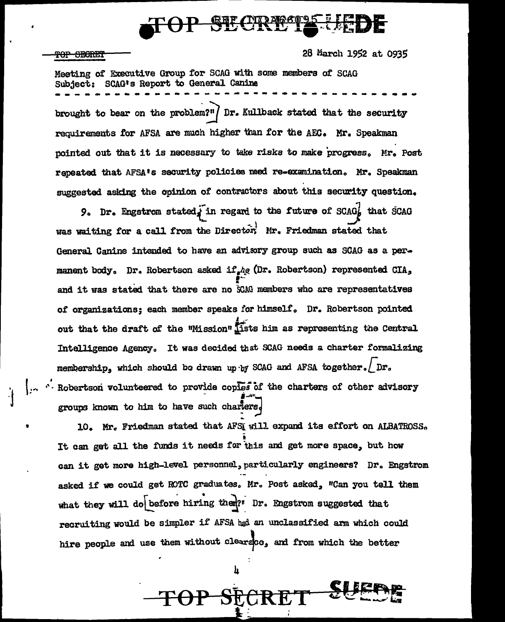## <del>TOP SECRET</del>

28 March 1952 at 0935

Meeting of Executive Group for SCAG with some members of SCAG Subject: SCAG's Report to General Canine brought to bear on the problem?"  $\int$  Dr. Kullback stated that the security requirements for AFSA are much higher than for the AEC. Mr. Speakman pointed out that it is necessary to take risks to make progress. Mr. Post repeated that AFSA's security policies need re-examination. Mr. Speakman suggested asking the opinion of contractors about this security question.

9. Dr. Engstrom stated, in regard to the future of SCAG, that SCAG was waiting for a call from the Director, Mr. Friedman stated that General Canine intended to have an advisory group such as SCAG as a permanent body. Dr. Robertson asked if he (Dr. Robertson) represented CIA. and it was stated that there are no SCAG members who are representatives of organizations: each member speaks for himself. Dr. Robertson pointed out that the draft of the "Mission" lists him as representing the Central Intelligence Agency. It was decided that SCAG needs a charter formalizing membership, which should be drawn up by SCAG and AFSA together. Dr. . Robertson volunteered to provide coples of the charters of other advisory groups known to him to have such charters.

10. Mr. Friedman stated that AFSI will expand its effort on ALBATROSS. It can get all the funds it needs for this and get more space, but how can it get more high-level personnel, particularly engineers? Dr. Engstrom asked if we could get ROTC graduates. Mr. Post asked, "Can you tell them what they will do before hiring them?" Dr. Engstrom suggested that recruiting would be simpler if AFSA had an unclassified arm which could hire neonle and use them without clearace, and from which the better

h

-SECR